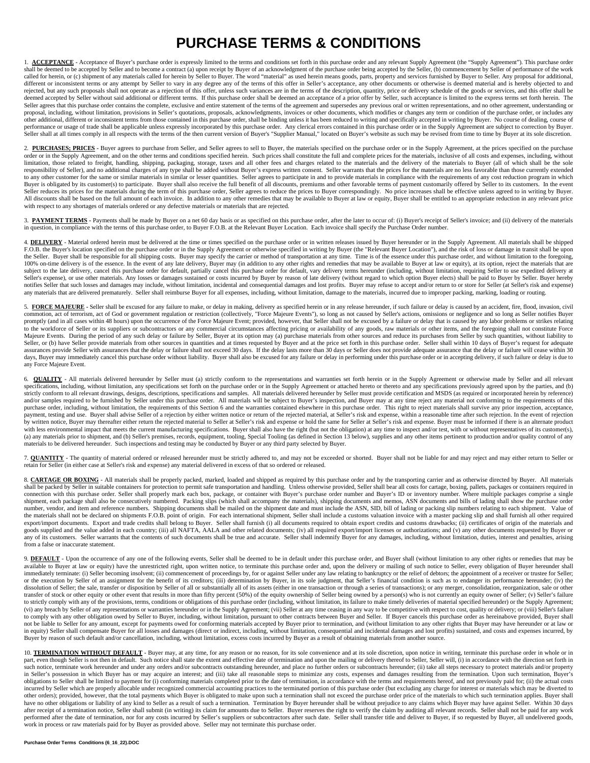## **PURCHASE TERMS & CONDITIONS**

1. ACCEPTANCE - Acceptance of Buyer's purchase order is expressly limited to the terms and conditions set forth in this purchase order and any relevant Supply Agreement (the "Supply Agreement"). This purchase order being a called for herein, or (c) shipment of any materials called for herein by Seller to Buyer. The word "material" as used herein means goods, parts, property and services furnished by Buyer to Seller. Any proposal for addition different or inconsistent terms or any attempt by Seller to vary in any degree any of the terms of this offer in Seller's acceptance, any other documents or otherwise is deemed material and is hereby objected to and rejected, but any such proposals shall not operate as a rejection of this offer, unless such variances are in the terms of the description, quantity, price or delivery schedule of the goods or services, and this offer shal deemed accepted by Seller without said additional or different terms. If this purchase order shall be deemed an acceptance of a prior offer by Seller, such acceptance is limited to the express terms set forth herein. The Seller agrees that this purchase order contains the complete, exclusive and entire statement of the terms of the agreement and supersedes any previous oral or written representations, and no other agreement, understanding proposal, including, without limitation, provisions in Seller's quotations, proposals, acknowledgments, invoices or other documents, which modifies or changes any term or condition of the purchase order, or includes any<br>ot performance or usage of trade shall be applicable unless expressly incorporated by this purchase order. Any clerical errors contained in this purchase order or in the Supply Agreement are subject to correction by Buyer.<br>Se

2. PURCHASES: PRICES - Buyer agrees to purchase from Seller, and Seller agrees to sell to Buyer, the materials specified on the purchase order or in the Supply Agreement, at the prices specified on the purchase order or in limitation, those related to freight, handling, shipping, packaging, storage, taxes and all other fees and charges related to the materials and the delivery of the materials to Buyer (all of which shall be the sole responsibility of Seller), and no additional charges of any type shall be added without Buyer's express written consent. Seller warrants that the prices for the materials are no less favorable than those currently extended to any other customer for the same or similar materials in similar or lesser quantities. Seller agrees to participate in and to provide materials in compliance with the requirements of any cost reduction program in which<br>B Seller reduces its prices for the materials during the term of this purchase order, Seller agrees to reduce the prices to Buyer correspondingly. No price increases shall be effective unless agreed to in writing by Buyer. All discounts shall be based on the full amount of each invoice. In addition to any other remedies that may be available to Buyer at law or equity, Buyer shall be entitled to an appropriate reduction in any relevant price with respect to any shortages of materials ordered or any defective materials or materials that are rejected.

3. PAYMENT TERMS - Payments shall be made by Buyer on a net 60 day basis or as specified on this purchase order, after the later to occur of: (i) Buyer's receipt of Seller's invoice; and (ii) delivery of the materials in question, in compliance with the terms of this purchase order, to Buyer F.O.B. at the Relevant Buyer Location. Each invoice shall specify the Purchase Order number.

4. **DELIVERY** - Material ordered herein must be delivered at the time or times specified on the purchase order or in written releases issued by Buyer hereunder or in the Supply Agreement. All materials shall be shipped F.O.B. the Buyer's location specified on the purchase order or in the Supply Agreement or otherwise specified in writing by Buyer (the "Relevant Buyer Location"), and the risk of loss or damage in transit shall be upon the Seller. Buyer shall be responsible for all shipping costs. Buyer may specify the carrier or method of transportation at any time. Time is of the essence under this purchase order, and without limitation to the foregoin 100% on-time delivery is of the essence. In the event of any late delivery, Buyer may (in addition to any other rights and remedies that may be available to Buyer at law or equity), at its option, reject the materials that subject to the late delivery, cancel this purchase order for default, partially cancel this purchase order for default, vary delivery terms hereunder (including, without limitation, requiring Seller to use expedited delive notifies Seller that such losses and damages may include, without limitation, incidental and consequential damages and lost profits. Buyer may refuse to accept and/or return to or store for Seller (at Seller's risk and exp any materials that are delivered prematurely. Seller shall reimburse Buyer for all expenses, including, without limitation, damage to the materials, incurred due to improper packing, marking, loading or routing.

5. FORCE MAJEURE - Seller shall be excused for any failure to make, or delay in making, delivery as specified herein or in any release hereunder, if such failure or delay is caused by an accident, fire, flood, invasion, ci commotion, act of terrorism, act of God or government regulation or restriction (collectively, "Force Majeure Events"), so long as not caused by Seller's actions, omissions or negligence and so long as Seller notifies Buyer promptly (and in all cases within 48 hours) upon the occurrence of the Force Majeure Event; provided, however, that Seller shall not be excused by a failure or delay that is caused by any labor problems or strikes relating Majeure Events. During the period of any such delay or failure by Seller, Buyer at its option may (a) purchase materials from other sources and reduce its purchases from Seller by such quantities, without liability to Seller, or (b) have Seller provide materials from other sources in quantities and at times requested by Buyer and at the price set forth in this purchase order. Seller shall within 10 days of Buyer's request for adequate assurances provide Seller with assurances that the delay or failure shall not exceed 30 days. If the delay lasts more than 30 days or Seller does not provide adequate assurance that the delay or failure will cease within 30 days. Buyer may immediately cancel this purchase order without liability. Buyer shall also be excused for any failure or delay in performing under this purchase order or in accepting delivery, if such failure or delay is d any Force Majeure Event.

6. **QUALITY** - All materials delivered hereunder by Seller must (a) strictly conform to the representations and warranties set forth herein or in the Supply Agreement or otherwise made by Seller and all relevant specifications, including, without limitation, any specifications set forth on the purchase order or in the Supply Agreement or attached hereto or thereto and any specifications previously agreed upon by the parties, and (b) strictly conform to all relevant drawings, designs, descriptions, specifications and samples. All materials delivered hereunder by Seller must provide certification and MSDS (as required or incorporated herein by reference) and/or samples required to be furnished by Seller under this purchase order. All materials will be subject to Buyer's inspection, and Buyer may at any time reject any material not conforming to the requirements of this<br>pur payment, testing and use. Buyer shall advise Seller of a rejection by either written notice or return of the rejected material, at Seller's risk and expense, within a reasonable time after such rejection. In the event of r by written notice, Buyer may thereafter either return the rejected material to Seller at Seller's risk and expense or hold the same for Seller at Seller's risk and expense. Buyer must be informed if there is an alternate p with less environmental impact that meets the current manufacturing specifications. Buyer shall also have the right (but not the obligation) at any time to inspect and/or test, with or without representatives of its custom (a) any materials prior to shipment, and (b) Seller's premises, records, equipment, tooling, Special Tooling (as defined in Section 13 below), supplies and any other items pertinent to production and/or quality control of materials to be delivered hereunder. Such inspections and testing may be conducted by Buyer or any third party selected by Buyer.

7. **QUANTITY** - The quantity of material ordered or released hereunder must be strictly adhered to, and may not be exceeded or shorted. Buyer shall not be liable for and may reject and may either return to Seller or retain for Seller (in either case at Seller's risk and expense) any material delivered in excess of that so ordered or released.

8. CARTAGE OR BOXING - All materials shall be properly packed, marked, loaded and shipped as required by this purchase order and by the transporting carrier and as otherwise directed by Buyer. All materials shall be packed by Seller in suitable containers for protection to permit safe transportation and handling. Unless otherwise provided, Seller shall bear all costs for cartage, boxing, pallets, packages or containers requir connection with this purchase order. Seller shall properly mark each box, package, or container with Buyer's purchase order number and Buyer's ID or inventory number. Where multiple packages comprise a single<br>shipment, eac number, vendor, and item and reference numbers. Shipping documents shall be mailed on the shipment date and must include the ASN, SID, bill of lading or packing slip numbers relating to each shipment. Value of the materials shall not be declared on shipments F.O.B. point of origin. For each international shipment, Seller shall include a customs valuation invoice with a master packing slip and shall furnish all other required export/import documents. Export and trade credits shall belong to Buyer. Seller shall furnish (i) all documents required to obtain export credits and customs drawbacks; (ii) certificates of origin of the materials and goods supplied and the value added in each country; (iii) all NAFTA, AALA and other related documents; (iv) all required export/import licenses or authorizations; and (v) any other documents requested by Buyer or any of its customers. Seller warrants that the contents of such documents shall be true and accurate. Seller shall indemnify Buyer for any damages, including, without limitation, duties, interest and penalties, arising from a false or inaccurate statement.

9. DEFAULT - Upon the occurrence of any one of the following events, Seller shall be deemed to be in default under this purchase order, and Buyer shall (without limitation to any other rights or remedies that may be available to Buyer at law or equity) have the unrestricted right, upon written notice, to terminate this purchase order and, upon the delivery or mailing of such notice to Seller, every obligation of Buyer hereunder shall immediately terminate: (i) Seller becoming insolvent; (ii) commencement of proceedings by, for or against Seller under any law relating to bankruptcy or the relief of debtors; the appointment of a receiver or trustee for S or the execution by Seller of an assignment for the benefit of its creditors; (iii) determination by Buyer, in its sole judgment, that Seller's financial condition is such as to endanger its performance hereunder; (iv) the dissolution of Seller; the sale, transfer or disposition by Seller of all or substantially all of its assets (either in one transaction or through a series of transactions); or any merger, consolidation, reorganization, sa transfer of stock or other equity or other event that results in more than fifty percent (50%) of the equity ownership of Seller being owned by a person(s) who is not currently an equity owner of Seller; (v) Seller's failure to strictly comply with any of the provisions, terms, conditions or obligations of this purchase order (including, without limitation, its failure to make timely deliveries of material specified hereunder) or the Supply Ag (vi) any breach by Seller of any representations or warranties hereunder or in the Supply Agreement; (vii) Seller at any time ceasing in any way to be competitive with respect to cost, quality or delivery; or (viii) Seller to comply with any other obligation owed by Seller to Buyer, including, without limitation, pursuant to other contracts between Buyer and Seller. If Buyer cancels this purchase order as hereinabove provided, Buyer shall not be liable to Seller for any amount, except for payments owed for conforming materials accepted by Buyer prior to termination, and (without limitation to any other rights that Buyer may have hereunder or at law or in equity) Seller shall compensate Buyer for all losses and damages (direct or indirect, including, without limitation, consequential and incidental damages and lost profits) sustained, and costs and expenses incurred, by Buyer by reason of such default and/or cancellation, including, without limitation, excess costs incurred by Buyer as a result of obtaining materials from another source.

10. TERMINATION WITHOUT DEFAULT - Buyer may, at any time, for any reason or no reason, for its sole convenience and at its sole discretion, upon notice in writing, terminate this purchase order in whole or in part, even though Seller is not then in default. Such notice shall state the extent and effective date of termination and upon the mailing or delivery thereof to Seller, Seller will, (i) in accordance with the direction se such notice, terminate work hereunder and under any orders and/or subcontracts outstanding hereunder, and place no further orders or subcontracts hereunder; (ii) take all steps necessary to protect materials and/or propert in Seller's possession in which Buyer has or may acquire an interest; and (iii) take all reasonable steps to minimize any costs, expenses and damages resulting from the termination. Upon such termination, Buyer's obligations to Seller shall be limited to payment for (i) conforming materials completed prior to the date of termination, in accordance with the terms and requirements hereof, and not previously paid for; (ii) the actual incurred by Seller which are properly allocable under recognized commercial accounting practices to the terminated portion of this purchase order (but excluding any charge for interest or materials which may be diverted to other orders); provided, however, that the total payments which Buyer is obligated to make upon such a termination shall not exceed the purchase order price of the materials to which such termination applies. Buyer shall have no other obligations or liability of any kind to Seller as a result of such a termination. Termination by Buyer hereunder shall be without prejudice to any claims which Buyer may have against Seller. Within 30 days<br>af performed after the date of termination, nor for any costs incurred by Seller's suppliers or subcontractors after such date. Seller shall transfer title and deliver to Buyer, if so requested by Buyer, all undelivered goods work in process or raw materials paid for by Buyer as provided above. Seller may not terminate this purchase order.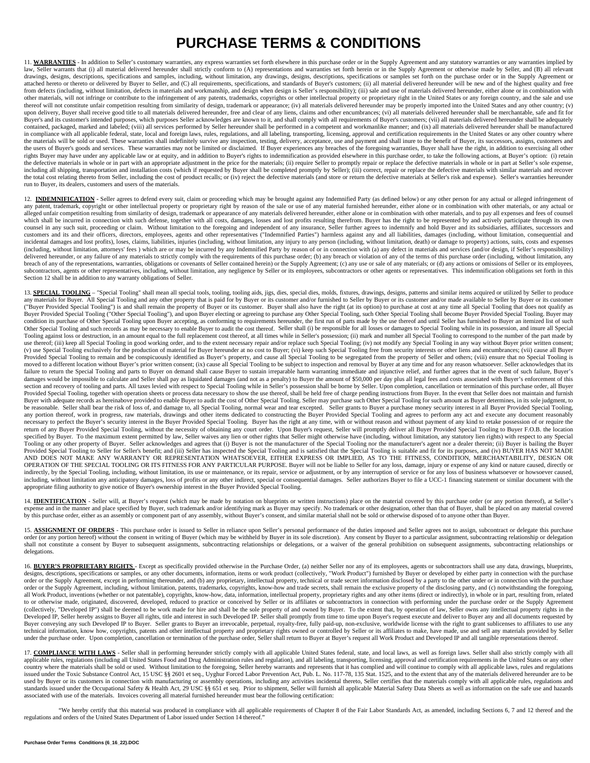## **PURCHASE TERMS & CONDITIONS**

11. WARRANTIES - In addition to Seller's customary warranties, any express warranties set forth elsewhere in this purchase order or in the Supply Agreement and any statutory warranties or any warranties implied by<br>law, Sel drawings, designs, descriptions, specifications and samples, including, without limitation, any drawings, designs, descriptions, specifications or samples set forth on the purchase order or in the Supply Agreement or attached hereto or thereto or delivered by Buyer to Seller, and (C) all requirements, specifications, and standards of Buyer's customers; (ii) all material delivered hereunder will be new and of the highest quality and free from defects (including, without limitation, defects in materials and workmanship, and design when design is Seller's responsibility); (iii) sale and use of materials delivered hereunder, either alone or in combination with other materials, will not infringe or contribute to the infringement of any patents, trademarks, copyrights or other intellectual property or proprietary right in the United States or any foreign country, and the sale and thereof will not constitute unfair competition resulting from similarity of design, trademark or appearance; (iv) all materials delivered hereunder may be properly imported into the United States and any other country; (v) upon delivery, Buyer shall receive good title to all materials delivered hereunder, free and clear of any liens, claims and other encumbrances; (vi) all materials delivered hereunder shall be merchantable, safe and fit for Buyer's and its customer's intended purposes, which purposes Seller acknowledges are known to it, and shall comply with all requirements of Buyer's customers; (vii) all materials delivered hereunder shall be adequately contained, packaged, marked and labeled; (viii) all services performed by Seller hereunder shall be performed in a competent and workmanlike manner; and (ix) all materials delivered hereunder shall be manufactured in compliance with all applicable federal, state, local and foreign laws, rules, regulations, and all labeling, transporting, licensing, approval and certification requirements in the United States or any other country where the materials will be sold or used. These warranties shall indefinitely survive any inspection, testing, delivery, acceptance, use and payment and shall inure to the benefit of Buyer, its successors, assigns, customers and the users of Buyer's goods and services. These warranties may not be limited or disclaimed. If Buyer experiences any breaches of the foregoing warranties, Buyer shall have the right, in addition to exercising all other the rights Buyer may have under any applicable law or at equity, and in addition to Buyer's rights to indemnification as provided elsewhere in this purchase order, to take the following actions, at Buyer's option: (i) retain the defective materials in whole or in part with an appropriate adjustment in the price for the materials; (ii) require Seller to promptly repair or replace the defective materials in whole or in part at Seller's sole expe including all shipping, transportation and installation costs (which if requested by Buyer shall be completed promptly by Seller); (iii) correct, repair or replace the defective materials with similar materials and recover the total cost relating thereto from Seller, including the cost of product recalls; or (iv) reject the defective materials (and store or return the defective materials at Seller's risk and expense). Seller's warranties her run to Buyer, its dealers, customers and users of the materials.

12. **INDEMNIFICATION** • Seller agrees to defend every suit, claim or proceeding which may be brought against any Indemnified Party (as defined below) or any other person for any actual or alleged infringement of any patent, trademark, copyright or other intellectual property or proprietary right by reason of the sale or use of any material furnished hereunder, either alone or in combination with other materials, or any actual or alleged unfair competition resulting from similarity of design, trademark or appearance of any materials delivered hereunder, either alone or in combination with other materials, and to pay all expenses and fees of counsel which shall be incurred in connection with such defense, together with all costs, damages, losses and lost profits resulting therefrom. Buyer has the right to be represented by and actively participate through its own counsel in any such suit, proceeding or claim. Without limitation to the foregoing and independent of any insurance, Seller further agrees to indemnify and hold Buyer and its subsidiaries, affiliates, successors and customers and its and their officers, directors, employees, agents and other representatives ("Indemnified Parties") harmless against any and all liabilities, damages (including, without limitation, consequential and incidental damages and lost profits), loses, claims, liabilities, injuries (including, without limitation, any injury to any person (including, without limitation, death) or damage to property) actions, suits, costs and ex (including, without limitation, attorneys' fees ) which are or may be incurred by any Indemnified Party by reason of or in connection with (a) any defect in materials and services (and/or design, if Seller's responsibility) delivered hereunder, or any failure of any materials to strictly comply with the requirements of this purchase order; (b) any breach or violation of any of the terms of this purchase order (including, without limitation, a breach of any of the representations, warranties, obligations or covenants of Seller contained herein) or the Supply Agreement; (c) any use or sale of any materials; or (d) any actions or omissions of Seller or its employe subcontractors, agents or other representatives, including, without limitation, any negligence by Seller or its employees, subcontractors or other agents or representatives. This indemnification obligations set forth in th Section 12 shall be in addition to any warranty obligations of Seller.

13. SPECIAL TOOLING - "Special Tooling" shall mean all special tools, tooling, tooling aids, jigs, dies, special dies, molds, fixtures, drawings, designs, patterns and similar items acquired or utilized by Seller to produc any materials for Buyer. All Special Tooling and any other property that is paid for by Buyer or its customer and/or furnished to Seller by Buyer or its customer and/or made available to Seller by Buyer or its customer ("Buyer Provided Special Tooling") is and shall remain the property of Buyer or its customer. Buyer shall also have the right (at its option) to purchase at cost at any time all Special Tooling that does not qualify as Buyer Provided Special Tooling ("Other Special Tooling"), and upon Buyer electing or agreeing to purchase any Other Special Tooling, such Other Special Tooling shall become Buyer Provided Special Tooling. Buyer may condition its purchase of Other Special Tooling upon Buyer accepting, as conforming to requirements hereunder, the first run of parts made by the use thereof and until Seller has furnished to Buyer an itemized list of such Tooling against loss or destruction, in an amount equal to the full replacement cost thereof, at all times while in Seller's possession; (ii) mark and number all Special Tooling to correspond to the number of the part made use thereof; (iii) keep all Special Tooling in good working order, and to the extent necessary repair and/or replace such Special Tooling; (iv) not modify any Special Tooling in any way without Buyer prior written consent; (v) use Special Tooling exclusively for the production of material for Buyer hereunder at no cost to Buyer; (vi) keep such Special Tooling free from security interests or other liens and encumbrances; (vii) cause all Buyer Provided Special Tooling to remain and be conspicuously identified as Buyer's property, and cause all Special Tooling to be segregated from the property of Seller and others; (viii) ensure that no Special Tooling is moved to a different location without Buyer's prior written consent; (ix) cause all Special Tooling to be subject to inspection and removal by Buyer at any time and for any reason whatsoever. Seller acknowledges that its failure to return the Special Tooling and parts to Buyer on demand shall cause Buyer to sustain irreparable harm warranting immediate and injunctive relief, and further agrees that in the event of such failure, Buyer's damages would be impossible to calculate and Seller shall pay as liquidated damages (and not as a penalty) to Buyer the amount of \$50,000 per day plus all legal fees and costs associated with Buyer's enforcement of this section and recovery of tooling and parts. All taxes levied with respect to Special Tooling while in Seller's possession shall be borne by Seller. Upon completion, cancellation or termination of this purchase order, all Bu Provided Special Tooling, together with operation sheets or process data necessary to show the use thereof, shall be held free of charge pending instructions from Buyer. In the event that Seller does not maintain and furni any portion thereof, work in progress, raw materials, drawings and other items dedicated to constructing the Buyer Provided Special Tooling and agrees to perform any act and execute any document reasonably necessary to perfect the Buyer's security interest in the Buyer Provided Special Tooling. Buyer has the right at any time, with or without reason and without payment of any kind to retake possession of or require the return of any Buyer Provided Special Tooling, without the necessity of obtaining any court order. Upon Buyer's request, Seller will promptly deliver all Buyer Provided Special Tooling to Buyer F.O.B. the location specified by Buyer. To the maximum extent permitted by law, Seller waives any lien or other rights that Seller might otherwise have (including, without limitation, any statutory lien rights) with respect to any Special Tooling or any other property of Buyer. Seller acknowledges and agrees that (i) Buyer is not the manufacturer of the Special Tooling nor the manufacturer's agent nor a dealer therein; (ii) Buyer is bailing the Buyer<br>Provid AND DOES NOT MAKE ANY WARRANTY OR REPRESENTATION WHATSOEVER, EITHER EXPRESS OR IMPLIED, AS TO THE FITNESS, CONDITION, MERCHANTABILITY, DESIGN OR OPERATION OF THE SPECIAL TOOLING OR ITS FITNESS FOR ANY PARTICULAR PURPOSE. Buyer will not be liable to Seller for any loss, damage, injury or expense of any kind or nature caused, directly or indirectly, by the Special Tooling, including, without limitation, its use or maintenance, or its repair, service or adjustment, or by any interruption of service or for any loss of business whatsoever or howsoever caused, including, without limitation any anticipatory damages, loss of profits or any other indirect, special or consequential damages. Seller authorizes Buyer to file a UCC-1 financing statement or similar document with the appropriate filing authority to give notice of Buyer's ownership interest in the Buyer Provided Special Tooling.

14. **IDENTIFICATION** - Seller will, at Buyer's request (which may be made by notation on blueprints or written instructions) place on the material covered by this purchase order (or any portion thereof), at Seller's expense and in the manner and place specified by Buyer, such trademark and/or identifying mark as Buyer may specify. No trademark or other designation, other than that of Buyer, shall be placed on any material covered by this purchase order, either as an assembly or component part of any assembly, without Buyer's consent, and similar material shall not be sold or otherwise disposed of to anyone other than Buyer.

15. **ASSIGNMENT OF ORDERS** - This purchase order is issued to Seller in reliance upon Seller's personal performance of the duties imposed and Seller agrees not to assign, subcontract or delegate this purchase order (or any portion hereof) without the consent in writing of Buyer (which may be withheld by Buyer in its sole discretion). Any consent by Buyer to a particular assignment, subcontracting relationship or delegation<br>shal delegations.

16. **BUYER'S PROPRIETARY RIGHTS** - Except as specifically provided otherwise in the Purchase Order, (a) neither Seller nor any of its employees, agents or subcontractors shall use any data, drawings, blueprints, designs, descriptions, specifications or samples, or any other documents, information, items or work product (collectively, "Work Product") furnished by Buyer or developed by either party in connection with the purchase order or the Supply Agreement, except in performing thereunder, and (b) any proprietary, intellectual property, technical or trade secret information disclosed by a party to the other under or in connection with the purchase order or the Supply Agreement, including, without limitation, patents, trademarks, copyrights, know-how and trade secrets, shall remain the exclusive property of the disclosing party, and (c) notwithstanding the foregoing, all Work Product, inventions (whether or not patentable), copyrights, know-how, data, information, intellectual property, proprietary rights and any other items (direct or indirectly), in whole or in part, resulting from, to or otherwise made, originated, discovered, developed, reduced to practice or conceived by Seller or its affiliates or subcontractors in connection with performing under the purchase order or the Supply Agreement (collectively, "Developed IP") shall be deemed to be work made for hire and shall be the sole property of and owned by Buyer. To the extent that, by operation of law, Seller owns any intellectual property rights in the Developed IP, Seller hereby assigns to Buyer all rights, title and interest in such Developed IP. Seller shall promptly from time to time upon Buyer's request execute and deliver to Buyer any and all documents requested by Buyer conveying any such Developed IP to Buyer. Seller grants to Buyer an irrevocable, perpetual, royalty-free, fully paid-up, non-exclusive, worldwide license with the right to grant sublicenses to affiliates to use any technical information, know how, copyrights, patents and other intellectual property and proprietary rights owned or controlled by Seller or its affiliates to make, have made, use and sell any materials provided by Seller under the purchase order. Upon completion, cancellation or termination of the purchase order, Seller shall return to Buyer at Buyer's request all Work Product and Developed IP and all tangible representations thereof.

17. COMPLIANCE WITH LAWS - Seller shall in performing hereunder strictly comply with all applicable United States federal, state, and local laws, as well as foreign laws. Seller shall also strictly comply with all applicable rules, regulations (including all United States Food and Drug Administration rules and regulation), and all labeling, transporting, licensing, approval and certification requirements in the United States or any issued under the Toxic Substance Control Act, 15 USC §§ 2601 et seq., Uyghur Forced Labor Prevention Act, Pub. L. No. 117-78, 135 Stat. 1525, and to the extent that any of the materials delivered hereunder are to be used by Buyer or its customers in connection with manufacturing or assembly operations, including any activities incidental thereto, Seller certifies that the materials comply with all applicable rules, regulations and standards issued under the Occupational Safety & Health Act, 29 USC §§ 651 et seq. Prior to shipment, Seller will furnish all applicable Material Safety Data Sheets as well as information on the safe use and hazards associated with use of the materials. Invoices covering all material furnished hereunder must bear the following certification:

"We hereby certify that this material was produced in compliance with all applicable requirements of Chapter 8 of the Fair Labor Standards Act, as amended, including Sections 6, 7 and 12 thereof and the regulations and orders of the United States Department of Labor issued under Section 14 thereof."